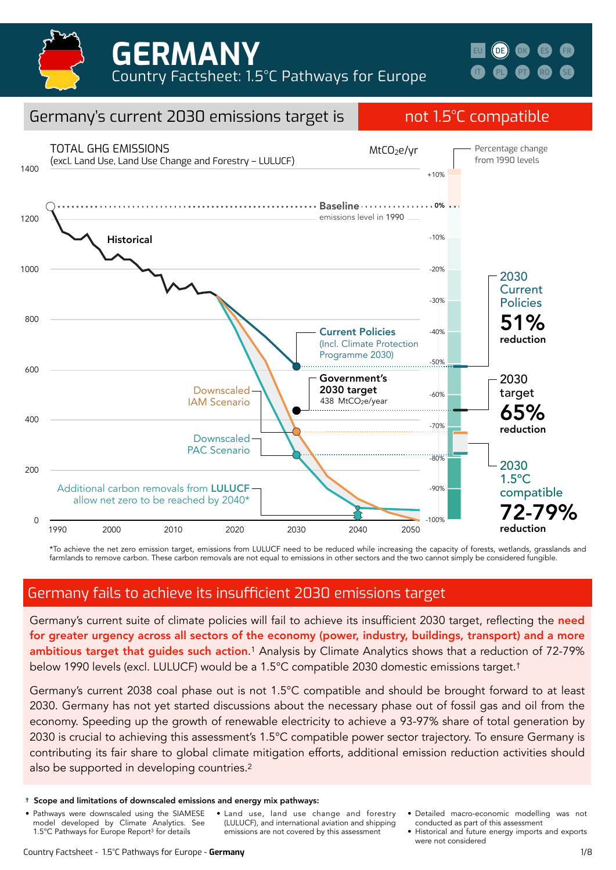

**[IT](https://climateanalytics.org/media/italy_1.pdf) [DK](https://climateanalytics.org/media/denmark.pdf) [ES](https://climateanalytics.org/media/spain.pdf) [FR](https://climateanalytics.org/media/france.pdf) [PL](https://climateanalytics.org/media/poland.pdf) [PT](https://climateanalytics.org/media/portugal.pdf) [RO](https://climateanalytics.org/media/romania.pdf) [SE](https://climateanalytics.org/media/sweden.pdf) [EU](https://climateanalytics.org/publications/2021/15c-pathways-for-europe-achieving-the-highest-plausible-climate-ambition/) [DE](https://climateanalytics.org/media/germany.pdf)**



\*To achieve the net zero emission target, emissions from LULUCF need to be reduced while increasing the capacity of forests, wetlands, grasslands and farmlands to remove carbon. These carbon removals are not equal to emissions in other sectors and the two cannot simply be considered fungible.

## Germany fails to achieve its insufficient 2030 emissions target

Germany's current suite of climate policies will fail to achieve its insufficient 2030 target, reflecting the need for greater urgency across all sectors of the economy (power, industry, buildings, transport) and a more ambitious target that guides such action.<sup>1</sup> Analysis by Climate Analytics shows that a reduction of 72-79% below 1990 levels (excl. LULUCF) would be a 1.5°C compatible 2030 domestic emissions target.†

Germany's current 2038 coal phase out is not 1.5°C compatible and should be brought forward to at least 2030. Germany has not yet started discussions about the necessary phase out of fossil gas and oil from the economy. Speeding up the growth of renewable electricity to achieve a 93-97% share of total generation by 2030 is crucial to achieving this assessment's 1.5°C compatible power sector trajectory. To ensure Germany is contributing its fair share to global climate mitigation efforts, additional emission reduction activities should also be supported in developing countries.<sup>2</sup>

- Pathways were downscaled using the SIAMESE model developed by Climate Analytics. See 1.5°C Pathways for Europe Report3 for details
- Land use, land use change and forestry (LULUCF), and international aviation and shipping emissions are not covered by this assessment
- Detailed macro-economic modelling was not conducted as part of this assessment
- Historical and future energy imports and exports were not considered

<sup>†</sup> Scope and limitations of downscaled emissions and energy mix pathways: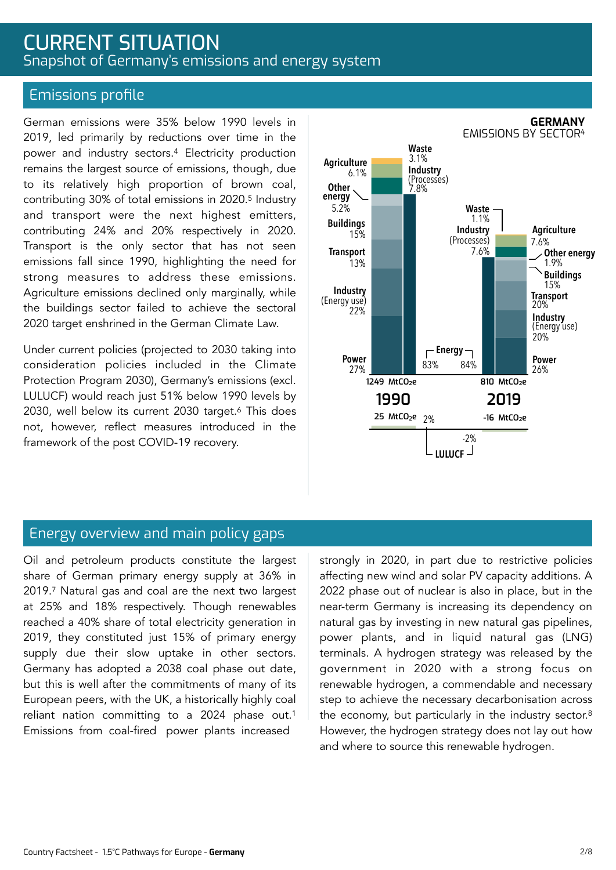# CURRENT SITUATION Snapshot of Germany's emissions and energy system

### Emissions profile

German emissions were 35% below 1990 levels in 2019, led primarily by reductions over time in the power and industry sectors.4 Electricity production remains the largest source of emissions, though, due to its relatively high proportion of brown coal, contributing 30% of total emissions in 2020.5 Industry and transport were the next highest emitters, contributing 24% and 20% respectively in 2020. Transport is the only sector that has not seen emissions fall since 1990, highlighting the need for strong measures to address these emissions. Agriculture emissions declined only marginally, while the buildings sector failed to achieve the sectoral 2020 target enshrined in the German Climate Law.

Under current policies (projected to 2030 taking into consideration policies included in the Climate Protection Program 2030), Germany's emissions (excl. LULUCF) would reach just 51% below 1990 levels by 2030, well below its current 2030 target.6 This does not, however, reflect measures introduced in the framework of the post COVID-19 recovery.



### Energy overview and main policy gaps

Oil and petroleum products constitute the largest share of German primary energy supply at 36% in 2019.7 Natural gas and coal are the next two largest at 25% and 18% respectively. Though renewables reached a 40% share of total electricity generation in 2019, they constituted just 15% of primary energy supply due their slow uptake in other sectors. Germany has adopted a 2038 coal phase out date, but this is well after the commitments of many of its European peers, with the UK, a historically highly coal reliant nation committing to a 2024 phase out.1 Emissions from coal-fired power plants increased

strongly in 2020, in part due to restrictive policies affecting new wind and solar PV capacity additions. A 2022 phase out of nuclear is also in place, but in the near-term Germany is increasing its dependency on natural gas by investing in new natural gas pipelines, power plants, and in liquid natural gas (LNG) terminals. A hydrogen strategy was released by the government in 2020 with a strong focus on renewable hydrogen, a commendable and necessary step to achieve the necessary decarbonisation across the economy, but particularly in the industry sector.<sup>8</sup> However, the hydrogen strategy does not lay out how and where to source this renewable hydrogen.

#### **GERMANY** EMISSIONS BY SECTOR4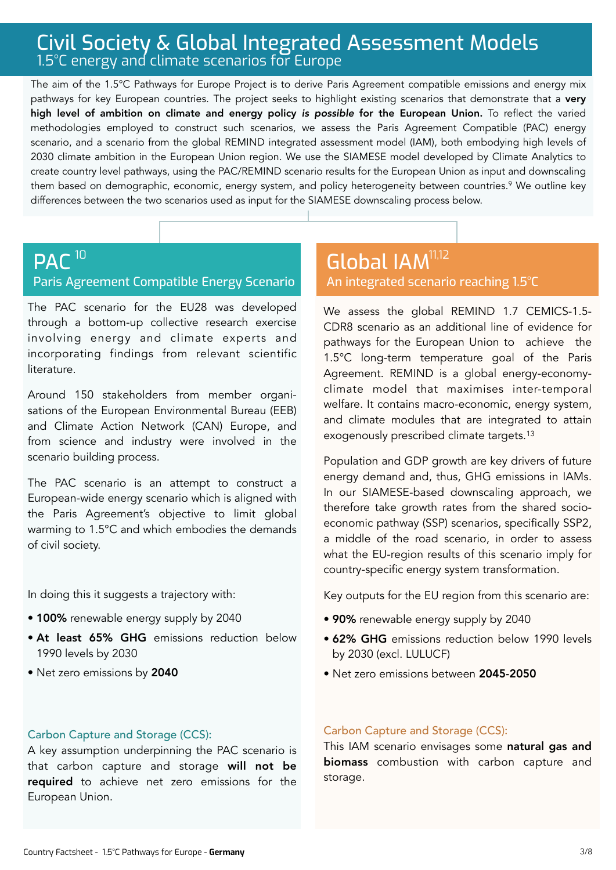# Civil Society & Global Integrated Assessment Models 1.5°C energy and climate scenarios for Europe

The aim of the 1.5°C Pathways for Europe Project is to derive Paris Agreement compatible emissions and energy mix pathways for key European countries. The project seeks to highlight existing scenarios that demonstrate that a very high level of ambition on climate and energy policy *is possible* for the European Union. To reflect the varied methodologies employed to construct such scenarios, we assess the Paris Agreement Compatible (PAC) energy scenario, and a scenario from the global REMIND integrated assessment model (IAM), both embodying high levels of 2030 climate ambition in the European Union region. We use the SIAMESE model developed by Climate Analytics to create country level pathways, using the PAC/REMIND scenario results for the European Union as input and downscaling them based on demographic, economic, energy system, and policy heterogeneity between countries.<sup>9</sup> We outline key differences between the two scenarios used as input for the SIAMESE downscaling process below.

#### PAC<sup>10</sup> Paris Agreement Compatible Energy Scenario  $^{10}$  Global IAM $^{11,12}$

The PAC scenario for the EU28 was developed through a bottom-up collective research exercise involving energy and climate experts and incorporating findings from relevant scientific literature.

Around 150 stakeholders from member organisations of the European Environmental Bureau (EEB) and Climate Action Network (CAN) Europe, and from science and industry were involved in the scenario building process.

The PAC scenario is an attempt to construct a European-wide energy scenario which is aligned with the Paris Agreement's objective to limit global warming to 1.5°C and which embodies the demands of civil society.

In doing this it suggests a trajectory with:

- 100% renewable energy supply by 2040
- At least 65% GHG emissions reduction below 1990 levels by 2030
- Net zero emissions by 2040

# An integrated scenario reaching 1.5°C

We assess the global REMIND 1.7 CEMICS-1.5- CDR8 scenario as an additional line of evidence for pathways for the European Union to achieve the 1.5°C long-term temperature goal of the Paris Agreement. REMIND is a global energy-economyclimate model that maximises inter-temporal welfare. It contains macro-economic, energy system, and climate modules that are integrated to attain exogenously prescribed climate targets.13

Population and GDP growth are key drivers of future energy demand and, thus, GHG emissions in IAMs. In our SIAMESE-based downscaling approach, we therefore take growth rates from the shared socioeconomic pathway (SSP) scenarios, specifically SSP2, a middle of the road scenario, in order to assess what the EU-region results of this scenario imply for country-specific energy system transformation.

Key outputs for the EU region from this scenario are:

- 90% renewable energy supply by 2040
- 62% GHG emissions reduction below 1990 levels by 2030 (excl. LULUCF)
- Net zero emissions between 2045-2050

#### Carbon Capture and Storage (CCS):

A key assumption underpinning the PAC scenario is that carbon capture and storage will not be required to achieve net zero emissions for the European Union.

#### Carbon Capture and Storage (CCS):

This IAM scenario envisages some natural gas and biomass combustion with carbon capture and storage.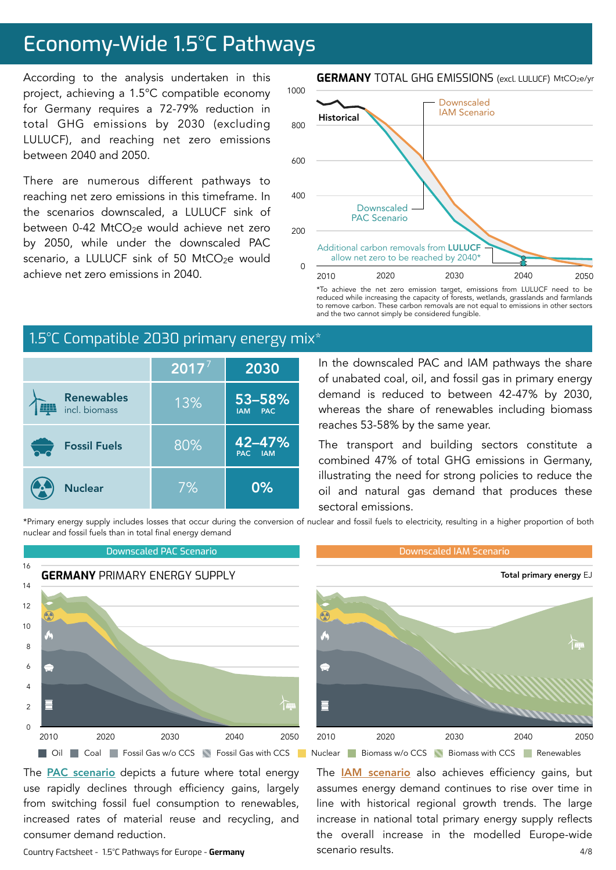# Economy-Wide 1.5°C Pathways

According to the analysis undertaken in this project, achieving a 1.5°C compatible economy for Germany requires a 72-79% reduction in total GHG emissions by 2030 (excluding LULUCF), and reaching net zero emissions between 2040 and 2050.

There are numerous different pathways to reaching net zero emissions in this timeframe. In the scenarios downscaled, a LULUCF sink of between 0-42 MtCO<sub>2</sub>e would achieve net zero by 2050, while under the downscaled PAC scenario, a LULUCF sink of 50 MtCO<sub>2</sub>e would achieve net zero emissions in 2040.



\*To achieve the net zero emission target, emissions from LULUCF need to be reduced while increasing the capacity of forests, wetlands, grasslands and farmlands to remove carbon. These carbon removals are not equal to emissions in other sectors and the two cannot simply be considered fungible.

# 1.5°C Compatible 2030 primary energy mix<sup>\*</sup>

|                                    | 2017' | 2030                                   |
|------------------------------------|-------|----------------------------------------|
| <b>Renewables</b><br>incl. biomass | 13%   | 53-58%<br><b>PAC</b><br><b>IAM</b>     |
| <b>Fossil Fuels</b>                | 80%   | $42 - 47%$<br><b>PAC</b><br><b>JAM</b> |
| <b>Nuclear</b>                     | 7%    | 0%                                     |

In the downscaled PAC and IAM pathways the share of unabated coal, oil, and fossil gas in primary energy demand is reduced to between 42-47% by 2030, whereas the share of renewables including biomass reaches 53-58% by the same year.

The transport and building sectors constitute a combined 47% of total GHG emissions in Germany, illustrating the need for strong policies to reduce the oil and natural gas demand that produces these sectoral emissions.

The **[IAM scenario](https://www.pik-potsdam.de/en/institute/departments/transformation-pathways/models/remind/remind16_description_2015_11_30_final#:~:text=REMIND%20is%20a%20global%20energy,inter-temporal%20welfare%20is%20maximized.&text=Macro-economic%20production%20factors%20are,,%20labor,%20and%20final%20energy.)** also achieves efficiency gains, but assumes energy demand continues to rise over time in line with historical regional growth trends. The large increase in national total primary energy supply reflects the overall increase in the modelled Europe-wide

\*Primary energy supply includes losses that occur during the conversion of nuclear and fossil fuels to electricity, resulting in a higher proportion of both nuclear and fossil fuels than in total final energy demand

1000



scenario results.

The **PAC** scenario depicts a future where total energy use rapidly declines through efficiency gains, largely from switching fossil fuel consumption to renewables, increased rates of material reuse and recycling, and consumer demand reduction.

Country Factsheet - 1.5°C Pathways for Europe - **Germany**

#### **GERMANY** TOTAL GHG EMISSIONS (excl. LULUCF) MtCO2e/yr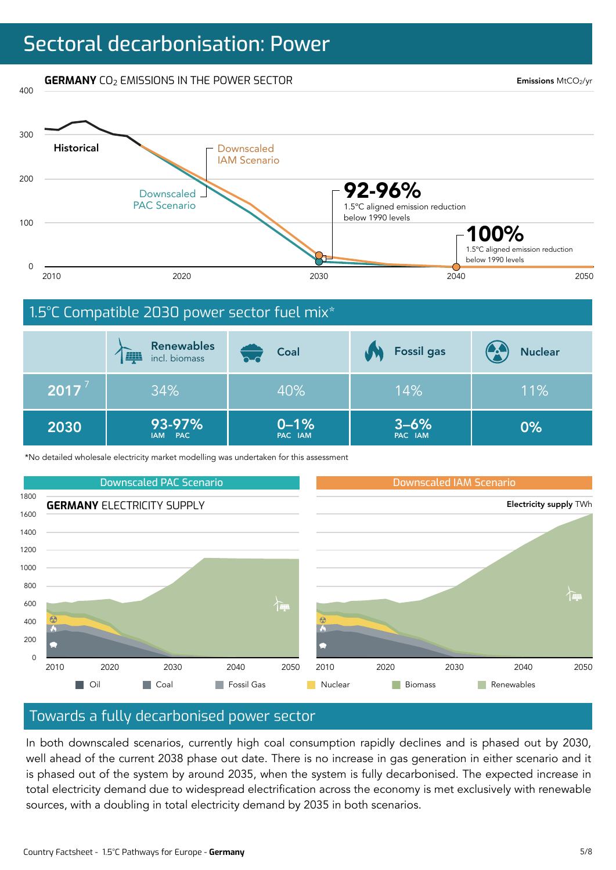# Sectoral decarbonisation: Power

**GERMANY** CO<sub>2</sub> EMISSIONS IN THE POWER SECTOR

400

Emissions MtCO2/yr



\*No detailed wholesale electricity market modelling was undertaken for this assessment



#### Towards a fully decarbonised power sector

In both downscaled scenarios, currently high coal consumption rapidly declines and is phased out by 2030, well ahead of the current 2038 phase out date. There is no increase in gas generation in either scenario and it is phased out of the system by around 2035, when the system is fully decarbonised. The expected increase in total electricity demand due to widespread electrification across the economy is met exclusively with renewable sources, with a doubling in total electricity demand by 2035 in both scenarios.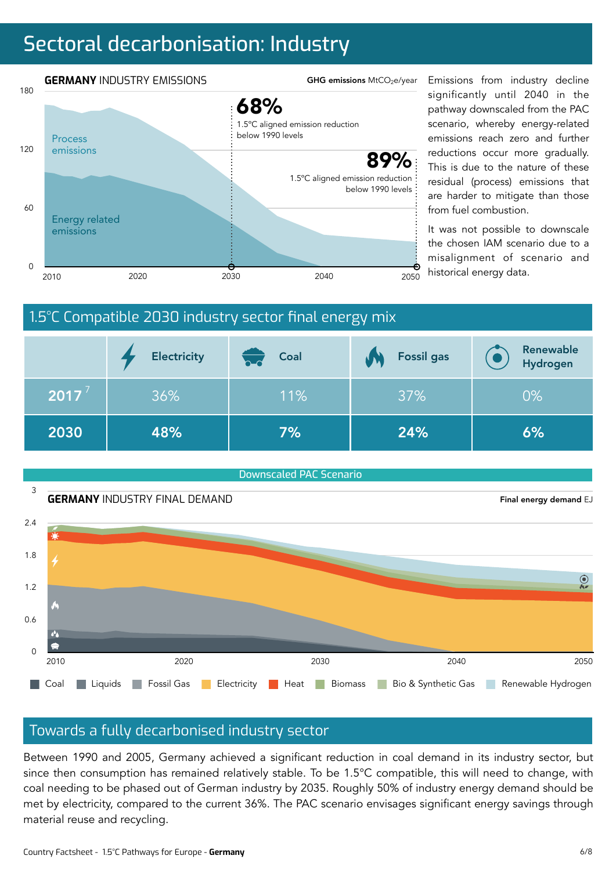# Sectoral decarbonisation: Industry



significantly until 2040 in the pathway downscaled from the PAC scenario, whereby energy-related emissions reach zero and further reductions occur more gradually. This is due to the nature of these residual (process) emissions that are harder to mitigate than those from fuel combustion.

It was not possible to downscale the chosen IAM scenario due to a misalignment of scenario and historical energy data.

# 1.5°C Compatible 2030 industry sector final energy mix

|      | <b>Electricity</b> | Coal<br>$\sim$ d | <b>Fossil gas</b> | Renewable<br>Hydrogen |
|------|--------------------|------------------|-------------------|-----------------------|
| 2017 | 36%                | 11%              | 37%               | $0\%$                 |
| 2030 | 48%                | 7%               | 24%               | 6%                    |



## Towards a fully decarbonised industry sector

Between 1990 and 2005, Germany achieved a significant reduction in coal demand in its industry sector, but since then consumption has remained relatively stable. To be 1.5°C compatible, this will need to change, with coal needing to be phased out of German industry by 2035. Roughly 50% of industry energy demand should be met by electricity, compared to the current 36%. The PAC scenario envisages significant energy savings through material reuse and recycling.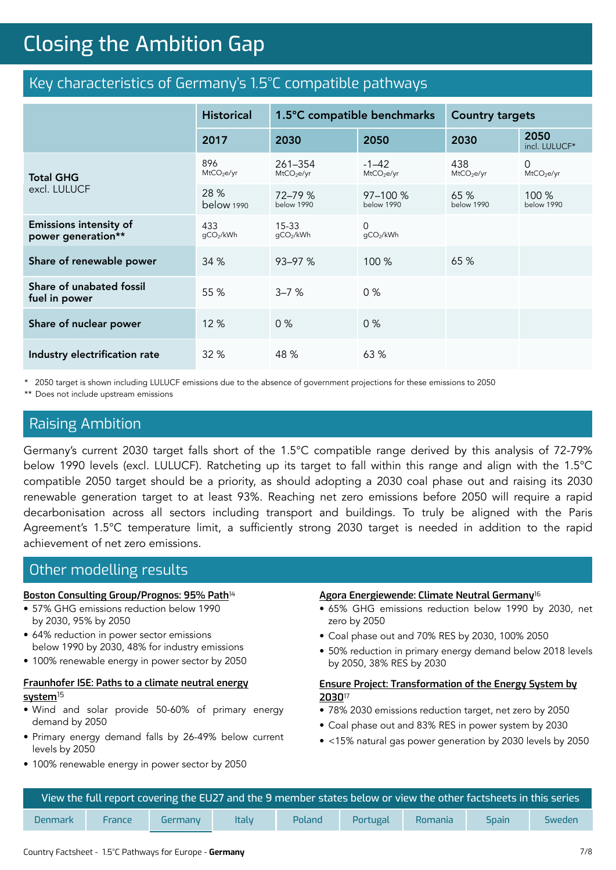# **Closing the Ambition Gap** Closing the Ambition Gap

# Key characteristics of Germany's 1.5°C compatible pathways

|                                                     | <b>Historical</b>             | 1.5°C compatible benchmarks       |                                     | <b>Country targets</b>        |                             |
|-----------------------------------------------------|-------------------------------|-----------------------------------|-------------------------------------|-------------------------------|-----------------------------|
|                                                     | 2017                          | 2030                              | 2050                                | 2030                          | 2050<br>incl. LULUCF*       |
| <b>Total GHG</b>                                    | 896<br>MtCO <sub>2</sub> e/yr | 261-354<br>MtCO <sub>2</sub> e/yr | $-1 - 42$<br>MtCO <sub>2</sub> e/yr | 438<br>MtCO <sub>2</sub> e/yr | 0<br>MtCO <sub>2</sub> e/yr |
| excl. LULUCF                                        | 28 %<br>below 1990            | 72-79 %<br>below 1990             | $97 - 100 %$<br>below 1990          | 65 %<br>below 1990            | 100 %<br>below 1990         |
| <b>Emissions intensity of</b><br>power generation** | 433<br>gCO2/kWh               | $15 - 33$<br>gCO2/kWh             | $\Omega$<br>qCO2/kWh                |                               |                             |
| Share of renewable power                            | 34 %                          | 93-97 %                           | 100 %                               | 65 %                          |                             |
| Share of unabated fossil<br>fuel in power           | 55 %                          | $3 - 7%$                          | 0%                                  |                               |                             |
| Share of nuclear power                              | 12 %                          | 0%                                | $0\%$                               |                               |                             |
| Industry electrification rate                       | 32 %                          | 48 %                              | 63 %                                |                               |                             |

\* 2050 target is shown including LULUCF emissions due to the absence of government projections for these emissions to 2050

\*\* Does not include upstream emissions

## Raising Ambition

Germany's current 2030 target falls short of the 1.5°C compatible range derived by this analysis of 72-79% below 1990 levels (excl. LULUCF). Ratcheting up its target to fall within this range and align with the 1.5°C compatible 2050 target should be a priority, as should adopting a 2030 coal phase out and raising its 2030 renewable generation target to at least 93%. Reaching net zero emissions before 2050 will require a rapid decarbonisation across all sectors including transport and buildings. To truly be aligned with the Paris Agreement's 1.5°C temperature limit, a sufficiently strong 2030 target is needed in addition to the rapid achievement of net zero emissions.

## Other modelling results

#### **[Boston Consulting Group/Prognos: 95% Path](https://www.bcg.com/publications/2018/climate-paths-for-germany-english)**<sup>14</sup>

- 57% GHG emissions reduction below 1990 by 2030, 95% by 2050
- 64% reduction in power sector emissions below 1990 by 2030, 48% for industry emissions
- 100% renewable energy in power sector by 2050

#### **[Fraunhofer ISE: Paths to a climate neutral energy](https://www.ise.fraunhofer.de/en/publications/studies/paths-to-a-climate-neutral-energy-system.html)  [system](https://www.ise.fraunhofer.de/en/publications/studies/paths-to-a-climate-neutral-energy-system.html)** 15

- Wind and solar provide 50-60% of primary energy demand by 2050
- Primary energy demand falls by 26-49% below current levels by 2050
- 100% renewable energy in power sector by 2050

#### **[Agora Energiewende: Climate Neutral Germany](https://www.agora-energiewende.de/en/publications/towards-a-climate-neutral-germany-executive-summary/)**<sup>16</sup>

- 65% GHG emissions reduction below 1990 by 2030, net zero by 2050
- Coal phase out and 70% RES by 2030, 100% 2050
- 50% reduction in primary energy demand below 2018 levels by 2050, 38% RES by 2030

#### **[Ensure Project: Transformation of the Energy System by](https://www.ewi.uni-koeln.de/cms/wp-content/uploads/2020/04/ENSURE_Broschuere_Storylines_20200420.pdf)  [2030](https://www.ewi.uni-koeln.de/cms/wp-content/uploads/2020/04/ENSURE_Broschuere_Storylines_20200420.pdf)**<sup>17</sup>

- 78% 2030 emissions reduction target, net zero by 2050
- Coal phase out and 83% RES in power system by 2030
- <15% natural gas power generation by 2030 levels by 2050

| <b>N</b> iew the full report covering the EU27 and the 9 member states below or view the other factsheets in this series $^{\dagger}$ |        |         |              |               |          |         |              |        |
|---------------------------------------------------------------------------------------------------------------------------------------|--------|---------|--------------|---------------|----------|---------|--------------|--------|
| <b>Denmark</b>                                                                                                                        | France | Germany | <b>Italy</b> | <b>Poland</b> | Portugal | Romania | <b>Spain</b> | Sweden |